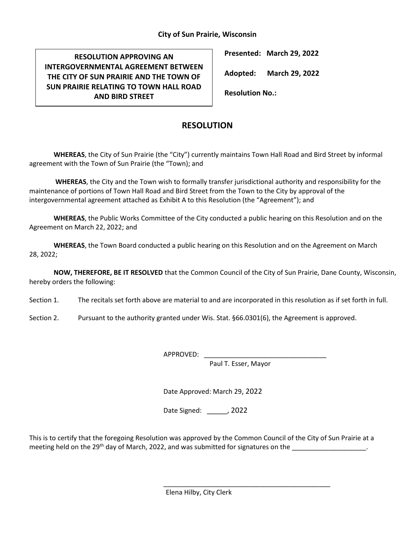## **City of Sun Prairie, Wisconsin**

**RESOLUTION APPROVING AN INTERGOVERNMENTAL AGREEMENT BETWEEN THE CITY OF SUN PRAIRIE AND THE TOWN OF SUN PRAIRIE RELATING TO TOWN HALL ROAD AND BIRD STREET**

**Presented: March 29, 2022**

**Adopted: March 29, 2022**

**Resolution No.:** 

## **RESOLUTION**

**WHEREAS**, the City of Sun Prairie (the "City") currently maintains Town Hall Road and Bird Street by informal agreement with the Town of Sun Prairie (the "Town); and

**WHEREAS**, the City and the Town wish to formally transfer jurisdictional authority and responsibility for the maintenance of portions of Town Hall Road and Bird Street from the Town to the City by approval of the intergovernmental agreement attached as Exhibit A to this Resolution (the "Agreement"); and

**WHEREAS**, the Public Works Committee of the City conducted a public hearing on this Resolution and on the Agreement on March 22, 2022; and

**WHEREAS**, the Town Board conducted a public hearing on this Resolution and on the Agreement on March 28, 2022;

**NOW, THEREFORE, BE IT RESOLVED** that the Common Council of the City of Sun Prairie, Dane County, Wisconsin, hereby orders the following:

Section 1. The recitals set forth above are material to and are incorporated in this resolution as if set forth in full.

Section 2. Pursuant to the authority granted under Wis. Stat. §66.0301(6), the Agreement is approved.

APPROVED:

Paul T. Esser, Mayor

\_\_\_\_\_\_\_\_\_\_\_\_\_\_\_\_\_\_\_\_\_\_\_\_\_\_\_\_\_\_\_\_\_\_\_\_\_\_\_\_\_\_\_\_\_

Date Approved: March 29, 2022

Date Signed: , 2022

This is to certify that the foregoing Resolution was approved by the Common Council of the City of Sun Prairie at a meeting held on the 29<sup>th</sup> day of March, 2022, and was submitted for signatures on the

Elena Hilby, City Clerk